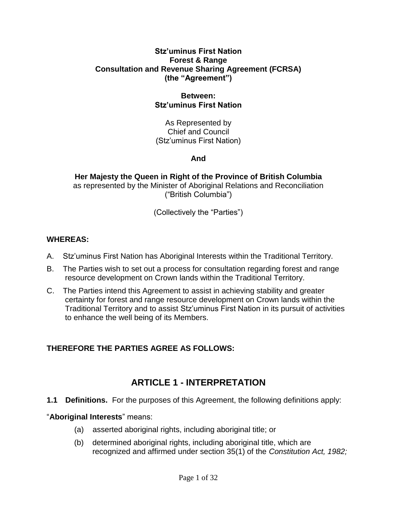#### **Stz'uminus First Nation Forest & Range Consultation and Revenue Sharing Agreement (FCRSA) (the "Agreement")**

#### **Between: Stz'uminus First Nation**

As Represented by Chief and Council (Stz'uminus First Nation)

#### **And**

**Her Majesty the Queen in Right of the Province of British Columbia** as represented by the Minister of Aboriginal Relations and Reconciliation ("British Columbia")

(Collectively the "Parties")

#### **WHEREAS:**

- A. Stz'uminus First Nation has Aboriginal Interests within the Traditional Territory.
- B. The Parties wish to set out a process for consultation regarding forest and range resource development on Crown lands within the Traditional Territory.
- C. The Parties intend this Agreement to assist in achieving stability and greater certainty for forest and range resource development on Crown lands within the Traditional Territory and to assist Stz'uminus First Nation in its pursuit of activities to enhance the well being of its Members.

#### **THEREFORE THE PARTIES AGREE AS FOLLOWS:**

### **ARTICLE 1 - INTERPRETATION**

**1.1 Definitions.** For the purposes of this Agreement, the following definitions apply:

#### "**Aboriginal Interests**" means:

- (a) asserted aboriginal rights, including aboriginal title; or
- (b) determined aboriginal rights, including aboriginal title, which are recognized and affirmed under section 35(1) of the *Constitution Act, 1982;*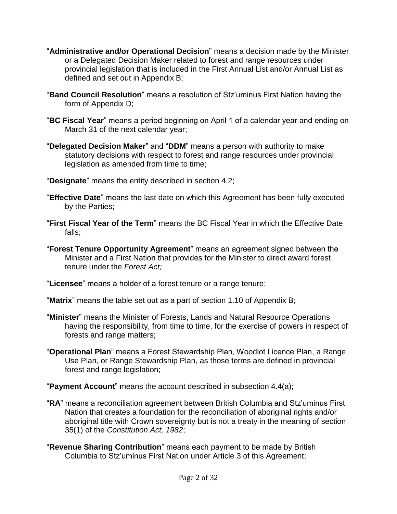- "**Administrative and/or Operational Decision**" means a decision made by the Minister or a Delegated Decision Maker related to forest and range resources under provincial legislation that is included in the First Annual List and/or Annual List as defined and set out in Appendix B;
- "**Band Council Resolution**" means a resolution of Stz'uminus First Nation having the form of Appendix D;
- "**BC Fiscal Year**" means a period beginning on April 1 of a calendar year and ending on March 31 of the next calendar year;
- "**Delegated Decision Maker**" and "**DDM**" means a person with authority to make statutory decisions with respect to forest and range resources under provincial legislation as amended from time to time;
- "**Designate**" means the entity described in section 4.2;
- "**Effective Date**" means the last date on which this Agreement has been fully executed by the Parties;
- "**First Fiscal Year of the Term**" means the BC Fiscal Year in which the Effective Date falls;
- "**Forest Tenure Opportunity Agreement**" means an agreement signed between the Minister and a First Nation that provides for the Minister to direct award forest tenure under the *Forest Act;*

"**Licensee**" means a holder of a forest tenure or a range tenure;

"**Matrix**" means the table set out as a part of section 1.10 of Appendix B;

- "**Minister**" means the Minister of Forests, Lands and Natural Resource Operations having the responsibility, from time to time, for the exercise of powers in respect of forests and range matters;
- "**Operational Plan**" means a Forest Stewardship Plan, Woodlot Licence Plan, a Range Use Plan, or Range Stewardship Plan, as those terms are defined in provincial forest and range legislation;

"**Payment Account**" means the account described in subsection 4.4(a);

- "**RA**" means a reconciliation agreement between British Columbia and Stz'uminus First Nation that creates a foundation for the reconciliation of aboriginal rights and/or aboriginal title with Crown sovereignty but is not a treaty in the meaning of section 35(1) of the *Constitution Act, 1982*;
- "**Revenue Sharing Contribution**" means each payment to be made by British Columbia to Stz'uminus First Nation under Article 3 of this Agreement;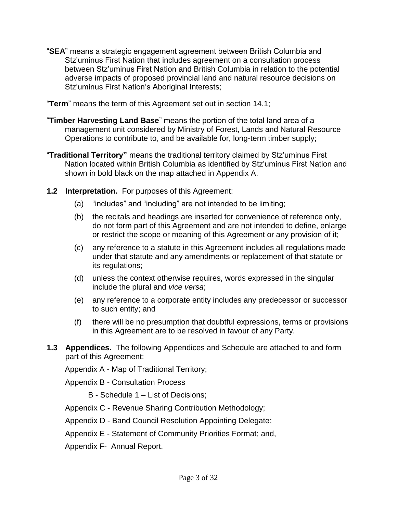"**SEA**" means a strategic engagement agreement between British Columbia and Stz'uminus First Nation that includes agreement on a consultation process between Stz'uminus First Nation and British Columbia in relation to the potential adverse impacts of proposed provincial land and natural resource decisions on Stz'uminus First Nation's Aboriginal Interests;

"**Term**" means the term of this Agreement set out in section 14.1;

- "**Timber Harvesting Land Base**" means the portion of the total land area of a management unit considered by Ministry of Forest, Lands and Natural Resource Operations to contribute to, and be available for, long-term timber supply;
- "**Traditional Territory"** means the traditional territory claimed by Stz'uminus First Nation located within British Columbia as identified by Stz'uminus First Nation and shown in bold black on the map attached in Appendix A.
- **1.2 Interpretation.** For purposes of this Agreement:
	- (a) "includes" and "including" are not intended to be limiting;
	- (b) the recitals and headings are inserted for convenience of reference only, do not form part of this Agreement and are not intended to define, enlarge or restrict the scope or meaning of this Agreement or any provision of it;
	- (c) any reference to a statute in this Agreement includes all regulations made under that statute and any amendments or replacement of that statute or its regulations;
	- (d) unless the context otherwise requires, words expressed in the singular include the plural and *vice versa*;
	- (e) any reference to a corporate entity includes any predecessor or successor to such entity; and
	- (f) there will be no presumption that doubtful expressions, terms or provisions in this Agreement are to be resolved in favour of any Party.
- **1.3 Appendices.** The following Appendices and Schedule are attached to and form part of this Agreement:

Appendix A - Map of Traditional Territory;

Appendix B - Consultation Process

- B Schedule 1 List of Decisions;
- Appendix C Revenue Sharing Contribution Methodology;
- Appendix D Band Council Resolution Appointing Delegate;
- Appendix E Statement of Community Priorities Format; and,
- Appendix F- Annual Report.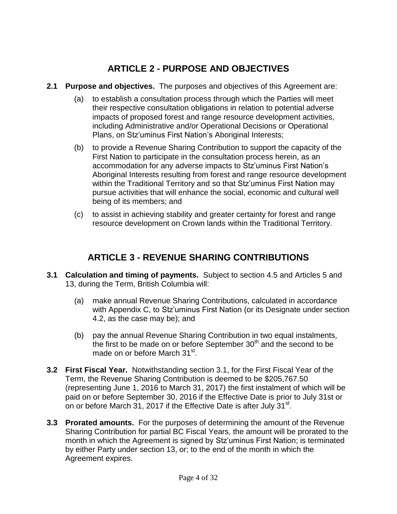# **ARTICLE 2 - PURPOSE AND OBJECTIVES**

- **2.1 Purpose and objectives.** The purposes and objectives of this Agreement are:
	- (a) to establish a consultation process through which the Parties will meet their respective consultation obligations in relation to potential adverse impacts of proposed forest and range resource development activities, including Administrative and/or Operational Decisions or Operational Plans, on Stz'uminus First Nation's Aboriginal Interests;
	- (b) to provide a Revenue Sharing Contribution to support the capacity of the First Nation to participate in the consultation process herein, as an accommodation for any adverse impacts to Stz'uminus First Nation's Aboriginal Interests resulting from forest and range resource development within the Traditional Territory and so that Stz'uminus First Nation may pursue activities that will enhance the social, economic and cultural well being of its members; and
	- (c) to assist in achieving stability and greater certainty for forest and range resource development on Crown lands within the Traditional Territory.

## **ARTICLE 3 - REVENUE SHARING CONTRIBUTIONS**

- **3.1 Calculation and timing of payments.** Subject to section 4.5 and Articles 5 and 13, during the Term, British Columbia will:
	- (a) make annual Revenue Sharing Contributions, calculated in accordance with Appendix C, to Stz'uminus First Nation (or its Designate under section 4.2, as the case may be); and
	- (b) pay the annual Revenue Sharing Contribution in two equal instalments, the first to be made on or before September  $30<sup>th</sup>$  and the second to be made on or before March 31st.
- **3.2 First Fiscal Year.** Notwithstanding section 3.1, for the First Fiscal Year of the Term, the Revenue Sharing Contribution is deemed to be \$205,767.50 (representing June 1, 2016 to March 31, 2017) the first instalment of which will be paid on or before September 30, 2016 if the Effective Date is prior to July 31st or on or before March 31, 2017 if the Effective Date is after July 31<sup>st</sup>.
- **3.3 Prorated amounts.** For the purposes of determining the amount of the Revenue Sharing Contribution for partial BC Fiscal Years, the amount will be prorated to the month in which the Agreement is signed by Stz'uminus First Nation; is terminated by either Party under section 13, or; to the end of the month in which the Agreement expires.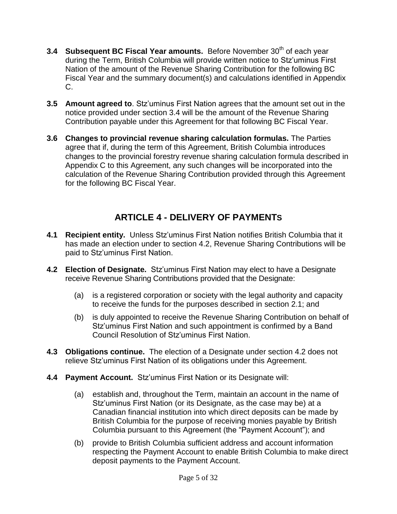- **3.4 Subsequent BC Fiscal Year amounts.** Before November 30<sup>th</sup> of each year during the Term, British Columbia will provide written notice to Stz'uminus First Nation of the amount of the Revenue Sharing Contribution for the following BC Fiscal Year and the summary document(s) and calculations identified in Appendix C.
- **3.5 Amount agreed to**. Stz'uminus First Nation agrees that the amount set out in the notice provided under section 3.4 will be the amount of the Revenue Sharing Contribution payable under this Agreement for that following BC Fiscal Year.
- **3.6 Changes to provincial revenue sharing calculation formulas.** The Parties agree that if, during the term of this Agreement, British Columbia introduces changes to the provincial forestry revenue sharing calculation formula described in Appendix C to this Agreement, any such changes will be incorporated into the calculation of the Revenue Sharing Contribution provided through this Agreement for the following BC Fiscal Year.

# **ARTICLE 4 - DELIVERY OF PAYMENTS**

- **4.1 Recipient entity.** Unless Stz'uminus First Nation notifies British Columbia that it has made an election under to section 4.2, Revenue Sharing Contributions will be paid to Stz'uminus First Nation.
- **4.2 Election of Designate.** Stz'uminus First Nation may elect to have a Designate receive Revenue Sharing Contributions provided that the Designate:
	- (a) is a registered corporation or society with the legal authority and capacity to receive the funds for the purposes described in section 2.1; and
	- (b) is duly appointed to receive the Revenue Sharing Contribution on behalf of Stz'uminus First Nation and such appointment is confirmed by a Band Council Resolution of Stz'uminus First Nation.
- **4.3 Obligations continue.** The election of a Designate under section 4.2 does not relieve Stz'uminus First Nation of its obligations under this Agreement.
- **4.4 Payment Account.** Stz'uminus First Nation or its Designate will:
	- (a) establish and, throughout the Term, maintain an account in the name of Stz'uminus First Nation (or its Designate, as the case may be) at a Canadian financial institution into which direct deposits can be made by British Columbia for the purpose of receiving monies payable by British Columbia pursuant to this Agreement (the "Payment Account"); and
	- (b) provide to British Columbia sufficient address and account information respecting the Payment Account to enable British Columbia to make direct deposit payments to the Payment Account.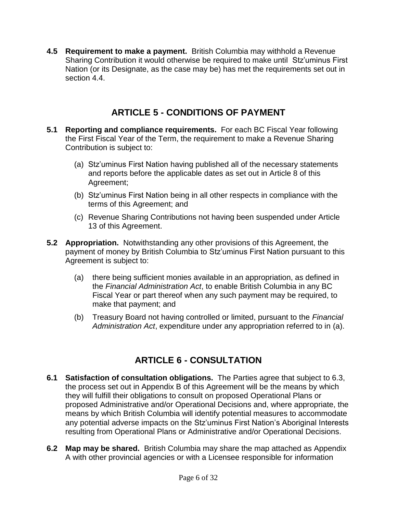**4.5 Requirement to make a payment.** British Columbia may withhold a Revenue Sharing Contribution it would otherwise be required to make until Stz'uminus First Nation (or its Designate, as the case may be) has met the requirements set out in section 4.4.

## **ARTICLE 5 - CONDITIONS OF PAYMENT**

- **5.1 Reporting and compliance requirements.** For each BC Fiscal Year following the First Fiscal Year of the Term, the requirement to make a Revenue Sharing Contribution is subject to:
	- (a) Stz'uminus First Nation having published all of the necessary statements and reports before the applicable dates as set out in Article 8 of this Agreement;
	- (b) Stz'uminus First Nation being in all other respects in compliance with the terms of this Agreement; and
	- (c) Revenue Sharing Contributions not having been suspended under Article 13 of this Agreement.
- **5.2 Appropriation.** Notwithstanding any other provisions of this Agreement, the payment of money by British Columbia to Stz'uminus First Nation pursuant to this Agreement is subject to:
	- (a) there being sufficient monies available in an appropriation, as defined in the *Financial Administration Act*, to enable British Columbia in any BC Fiscal Year or part thereof when any such payment may be required, to make that payment; and
	- (b) Treasury Board not having controlled or limited, pursuant to the *Financial Administration Act*, expenditure under any appropriation referred to in (a).

## **ARTICLE 6 - CONSULTATION**

- **6.1 Satisfaction of consultation obligations.** The Parties agree that subject to 6.3, the process set out in Appendix B of this Agreement will be the means by which they will fulfill their obligations to consult on proposed Operational Plans or proposed Administrative and/or Operational Decisions and, where appropriate, the means by which British Columbia will identify potential measures to accommodate any potential adverse impacts on the Stz'uminus First Nation's Aboriginal Interests resulting from Operational Plans or Administrative and/or Operational Decisions.
- **6.2 Map may be shared.** British Columbia may share the map attached as Appendix A with other provincial agencies or with a Licensee responsible for information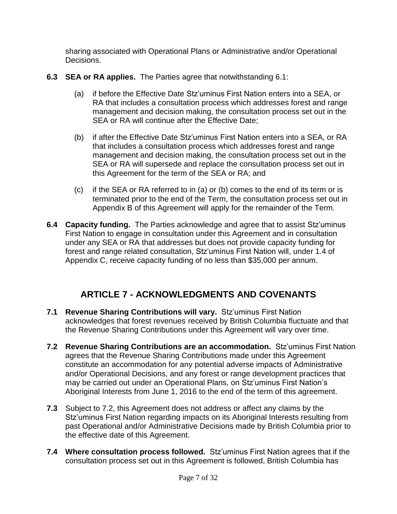sharing associated with Operational Plans or Administrative and/or Operational Decisions.

- **6.3 SEA or RA applies.** The Parties agree that notwithstanding 6.1:
	- (a) if before the Effective Date Stz'uminus First Nation enters into a SEA, or RA that includes a consultation process which addresses forest and range management and decision making, the consultation process set out in the SEA or RA will continue after the Effective Date;
	- (b) if after the Effective Date Stz'uminus First Nation enters into a SEA, or RA that includes a consultation process which addresses forest and range management and decision making, the consultation process set out in the SEA or RA will supersede and replace the consultation process set out in this Agreement for the term of the SEA or RA; and
	- (c) if the SEA or RA referred to in (a) or (b) comes to the end of its term or is terminated prior to the end of the Term, the consultation process set out in Appendix B of this Agreement will apply for the remainder of the Term.
- **6.4 Capacity funding.** The Parties acknowledge and agree that to assist Stz'uminus First Nation to engage in consultation under this Agreement and in consultation under any SEA or RA that addresses but does not provide capacity funding for forest and range related consultation, Stz'uminus First Nation will, under 1.4 of Appendix C, receive capacity funding of no less than \$35,000 per annum.

## **ARTICLE 7 - ACKNOWLEDGMENTS AND COVENANTS**

- **7.1 Revenue Sharing Contributions will vary.** Stz'uminus First Nation acknowledges that forest revenues received by British Columbia fluctuate and that the Revenue Sharing Contributions under this Agreement will vary over time.
- **7.2 Revenue Sharing Contributions are an accommodation.** Stz'uminus First Nation agrees that the Revenue Sharing Contributions made under this Agreement constitute an accommodation for any potential adverse impacts of Administrative and/or Operational Decisions, and any forest or range development practices that may be carried out under an Operational Plans, on Stz'uminus First Nation's Aboriginal Interests from June 1, 2016 to the end of the term of this agreement.
- **7.3** Subject to 7.2, this Agreement does not address or affect any claims by the Stz'uminus First Nation regarding impacts on its Aboriginal Interests resulting from past Operational and/or Administrative Decisions made by British Columbia prior to the effective date of this Agreement.
- **7.4 Where consultation process followed.** Stz'uminus First Nation agrees that if the consultation process set out in this Agreement is followed, British Columbia has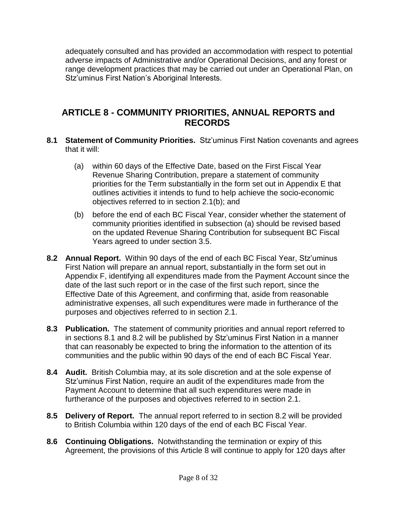adequately consulted and has provided an accommodation with respect to potential adverse impacts of Administrative and/or Operational Decisions, and any forest or range development practices that may be carried out under an Operational Plan, on Stz'uminus First Nation's Aboriginal Interests.

### **ARTICLE 8 - COMMUNITY PRIORITIES, ANNUAL REPORTS and RECORDS**

- **8.1 Statement of Community Priorities.** Stz'uminus First Nation covenants and agrees that it will:
	- (a) within 60 days of the Effective Date, based on the First Fiscal Year Revenue Sharing Contribution, prepare a statement of community priorities for the Term substantially in the form set out in Appendix E that outlines activities it intends to fund to help achieve the socio-economic objectives referred to in section 2.1(b); and
	- (b) before the end of each BC Fiscal Year, consider whether the statement of community priorities identified in subsection (a) should be revised based on the updated Revenue Sharing Contribution for subsequent BC Fiscal Years agreed to under section 3.5.
- **8.2 Annual Report.** Within 90 days of the end of each BC Fiscal Year, Stz'uminus First Nation will prepare an annual report, substantially in the form set out in Appendix F, identifying all expenditures made from the Payment Account since the date of the last such report or in the case of the first such report, since the Effective Date of this Agreement, and confirming that, aside from reasonable administrative expenses, all such expenditures were made in furtherance of the purposes and objectives referred to in section 2.1.
- **8.3 Publication.** The statement of community priorities and annual report referred to in sections 8.1 and 8.2 will be published by Stz'uminus First Nation in a manner that can reasonably be expected to bring the information to the attention of its communities and the public within 90 days of the end of each BC Fiscal Year.
- **8.4 Audit.** British Columbia may, at its sole discretion and at the sole expense of Stz'uminus First Nation, require an audit of the expenditures made from the Payment Account to determine that all such expenditures were made in furtherance of the purposes and objectives referred to in section 2.1.
- **8.5 Delivery of Report.** The annual report referred to in section 8.2 will be provided to British Columbia within 120 days of the end of each BC Fiscal Year.
- **8.6 Continuing Obligations.** Notwithstanding the termination or expiry of this Agreement, the provisions of this Article 8 will continue to apply for 120 days after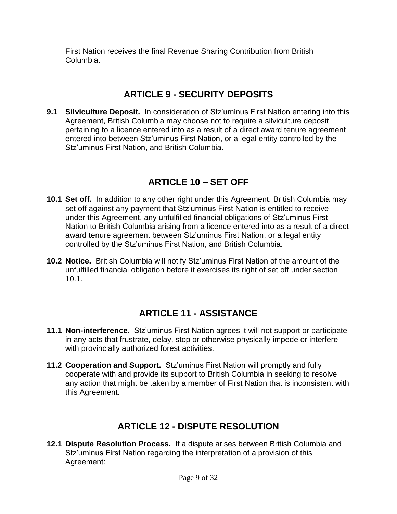First Nation receives the final Revenue Sharing Contribution from British Columbia.

### **ARTICLE 9 - SECURITY DEPOSITS**

**9.1 Silviculture Deposit.** In consideration of Stz'uminus First Nation entering into this Agreement, British Columbia may choose not to require a silviculture deposit pertaining to a licence entered into as a result of a direct award tenure agreement entered into between Stz'uminus First Nation, or a legal entity controlled by the Stz'uminus First Nation, and British Columbia.

## **ARTICLE 10 – SET OFF**

- **10.1 Set off.** In addition to any other right under this Agreement, British Columbia may set off against any payment that Stz'uminus First Nation is entitled to receive under this Agreement, any unfulfilled financial obligations of Stz'uminus First Nation to British Columbia arising from a licence entered into as a result of a direct award tenure agreement between Stz'uminus First Nation, or a legal entity controlled by the Stz'uminus First Nation, and British Columbia.
- **10.2 Notice.** British Columbia will notify Stz'uminus First Nation of the amount of the unfulfilled financial obligation before it exercises its right of set off under section 10.1.

## **ARTICLE 11 - ASSISTANCE**

- **11.1 Non-interference.** Stz'uminus First Nation agrees it will not support or participate in any acts that frustrate, delay, stop or otherwise physically impede or interfere with provincially authorized forest activities.
- **11.2 Cooperation and Support.** Stz'uminus First Nation will promptly and fully cooperate with and provide its support to British Columbia in seeking to resolve any action that might be taken by a member of First Nation that is inconsistent with this Agreement.

## **ARTICLE 12 - DISPUTE RESOLUTION**

**12.1 Dispute Resolution Process.** If a dispute arises between British Columbia and Stz'uminus First Nation regarding the interpretation of a provision of this Agreement: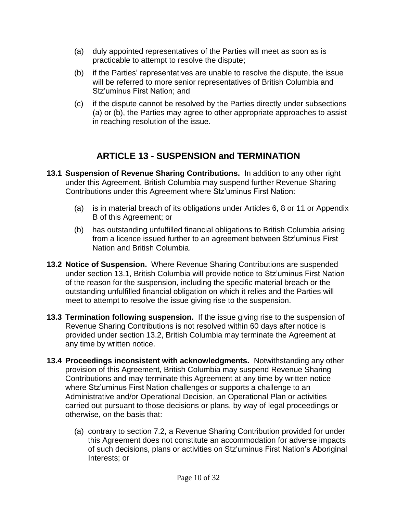- (a) duly appointed representatives of the Parties will meet as soon as is practicable to attempt to resolve the dispute;
- (b) if the Parties' representatives are unable to resolve the dispute, the issue will be referred to more senior representatives of British Columbia and Stz'uminus First Nation; and
- (c) if the dispute cannot be resolved by the Parties directly under subsections (a) or (b), the Parties may agree to other appropriate approaches to assist in reaching resolution of the issue.

## **ARTICLE 13 - SUSPENSION and TERMINATION**

- **13.1 Suspension of Revenue Sharing Contributions.** In addition to any other right under this Agreement, British Columbia may suspend further Revenue Sharing Contributions under this Agreement where Stz'uminus First Nation:
	- (a) is in material breach of its obligations under Articles 6, 8 or 11 or Appendix B of this Agreement; or
	- (b) has outstanding unfulfilled financial obligations to British Columbia arising from a licence issued further to an agreement between Stz'uminus First Nation and British Columbia.
- **13.2 Notice of Suspension.** Where Revenue Sharing Contributions are suspended under section 13.1, British Columbia will provide notice to Stz'uminus First Nation of the reason for the suspension, including the specific material breach or the outstanding unfulfilled financial obligation on which it relies and the Parties will meet to attempt to resolve the issue giving rise to the suspension.
- **13.3 Termination following suspension.** If the issue giving rise to the suspension of Revenue Sharing Contributions is not resolved within 60 days after notice is provided under section 13.2, British Columbia may terminate the Agreement at any time by written notice.
- **13.4 Proceedings inconsistent with acknowledgments.** Notwithstanding any other provision of this Agreement, British Columbia may suspend Revenue Sharing Contributions and may terminate this Agreement at any time by written notice where Stz'uminus First Nation challenges or supports a challenge to an Administrative and/or Operational Decision, an Operational Plan or activities carried out pursuant to those decisions or plans, by way of legal proceedings or otherwise, on the basis that:
	- (a) contrary to section 7.2, a Revenue Sharing Contribution provided for under this Agreement does not constitute an accommodation for adverse impacts of such decisions, plans or activities on Stz'uminus First Nation's Aboriginal Interests; or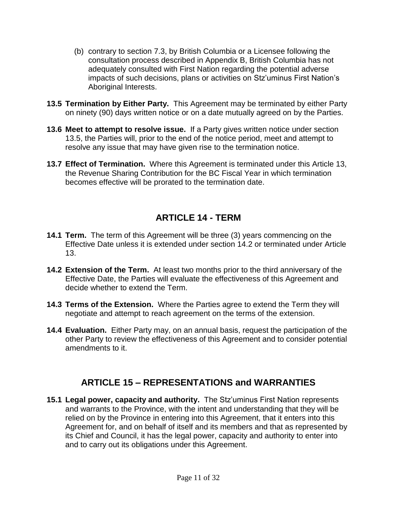- (b) contrary to section 7.3, by British Columbia or a Licensee following the consultation process described in Appendix B, British Columbia has not adequately consulted with First Nation regarding the potential adverse impacts of such decisions, plans or activities on Stz'uminus First Nation's Aboriginal Interests.
- **13.5 Termination by Either Party.** This Agreement may be terminated by either Party on ninety (90) days written notice or on a date mutually agreed on by the Parties.
- **13.6 Meet to attempt to resolve issue.** If a Party gives written notice under section 13.5, the Parties will, prior to the end of the notice period, meet and attempt to resolve any issue that may have given rise to the termination notice.
- **13.7 Effect of Termination.** Where this Agreement is terminated under this Article 13, the Revenue Sharing Contribution for the BC Fiscal Year in which termination becomes effective will be prorated to the termination date.

## **ARTICLE 14 - TERM**

- **14.1 Term.** The term of this Agreement will be three (3) years commencing on the Effective Date unless it is extended under section 14.2 or terminated under Article 13.
- **14.2 Extension of the Term.** At least two months prior to the third anniversary of the Effective Date, the Parties will evaluate the effectiveness of this Agreement and decide whether to extend the Term.
- **14.3 Terms of the Extension.** Where the Parties agree to extend the Term they will negotiate and attempt to reach agreement on the terms of the extension.
- **14.4 Evaluation.** Either Party may, on an annual basis, request the participation of the other Party to review the effectiveness of this Agreement and to consider potential amendments to it.

## **ARTICLE 15 – REPRESENTATIONS and WARRANTIES**

**15.1 Legal power, capacity and authority.** The Stz'uminus First Nation represents and warrants to the Province, with the intent and understanding that they will be relied on by the Province in entering into this Agreement, that it enters into this Agreement for, and on behalf of itself and its members and that as represented by its Chief and Council, it has the legal power, capacity and authority to enter into and to carry out its obligations under this Agreement.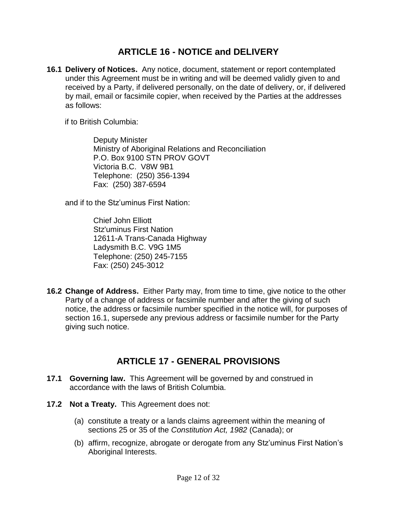### **ARTICLE 16 - NOTICE and DELIVERY**

**16.1 Delivery of Notices.** Any notice, document, statement or report contemplated under this Agreement must be in writing and will be deemed validly given to and received by a Party, if delivered personally, on the date of delivery, or, if delivered by mail, email or facsimile copier, when received by the Parties at the addresses as follows:

if to British Columbia:

Deputy Minister Ministry of Aboriginal Relations and Reconciliation P.O. Box 9100 STN PROV GOVT Victoria B.C. V8W 9B1 Telephone: (250) 356-1394 Fax: (250) 387-6594

and if to the Stz'uminus First Nation:

Chief John Elliott Stz'uminus First Nation 12611-A Trans-Canada Highway Ladysmith B.C. V9G 1M5 Telephone: (250) 245-7155 Fax: (250) 245-3012

**16.2 Change of Address.** Either Party may, from time to time, give notice to the other Party of a change of address or facsimile number and after the giving of such notice, the address or facsimile number specified in the notice will, for purposes of section 16.1, supersede any previous address or facsimile number for the Party giving such notice.

## **ARTICLE 17 - GENERAL PROVISIONS**

- **17.1 Governing law.** This Agreement will be governed by and construed in accordance with the laws of British Columbia.
- **17.2 Not a Treaty.** This Agreement does not:
	- (a) constitute a treaty or a lands claims agreement within the meaning of sections 25 or 35 of the *Constitution Act, 1982* (Canada); or
	- (b) affirm, recognize, abrogate or derogate from any Stz'uminus First Nation's Aboriginal Interests.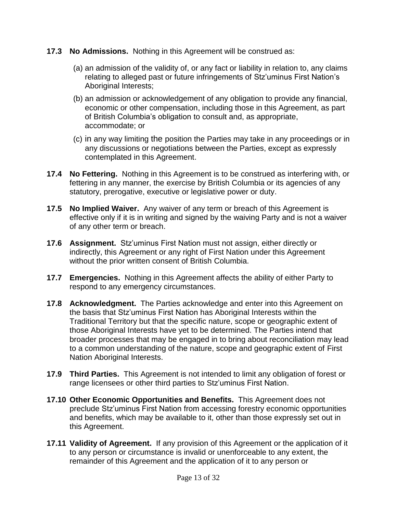- **17.3 No Admissions.** Nothing in this Agreement will be construed as:
	- (a) an admission of the validity of, or any fact or liability in relation to, any claims relating to alleged past or future infringements of Stz'uminus First Nation's Aboriginal Interests;
	- (b) an admission or acknowledgement of any obligation to provide any financial, economic or other compensation, including those in this Agreement, as part of British Columbia's obligation to consult and, as appropriate, accommodate; or
	- (c) in any way limiting the position the Parties may take in any proceedings or in any discussions or negotiations between the Parties, except as expressly contemplated in this Agreement.
- **17.4 No Fettering.** Nothing in this Agreement is to be construed as interfering with, or fettering in any manner, the exercise by British Columbia or its agencies of any statutory, prerogative, executive or legislative power or duty.
- **17.5 No Implied Waiver.** Any waiver of any term or breach of this Agreement is effective only if it is in writing and signed by the waiving Party and is not a waiver of any other term or breach.
- **17.6 Assignment.** Stz'uminus First Nation must not assign, either directly or indirectly, this Agreement or any right of First Nation under this Agreement without the prior written consent of British Columbia.
- **17.7 Emergencies.** Nothing in this Agreement affects the ability of either Party to respond to any emergency circumstances.
- **17.8 Acknowledgment.** The Parties acknowledge and enter into this Agreement on the basis that Stz'uminus First Nation has Aboriginal Interests within the Traditional Territory but that the specific nature, scope or geographic extent of those Aboriginal Interests have yet to be determined. The Parties intend that broader processes that may be engaged in to bring about reconciliation may lead to a common understanding of the nature, scope and geographic extent of First Nation Aboriginal Interests.
- **17.9 Third Parties.** This Agreement is not intended to limit any obligation of forest or range licensees or other third parties to Stz'uminus First Nation.
- **17.10 Other Economic Opportunities and Benefits.** This Agreement does not preclude Stz'uminus First Nation from accessing forestry economic opportunities and benefits, which may be available to it, other than those expressly set out in this Agreement.
- **17.11 Validity of Agreement.** If any provision of this Agreement or the application of it to any person or circumstance is invalid or unenforceable to any extent, the remainder of this Agreement and the application of it to any person or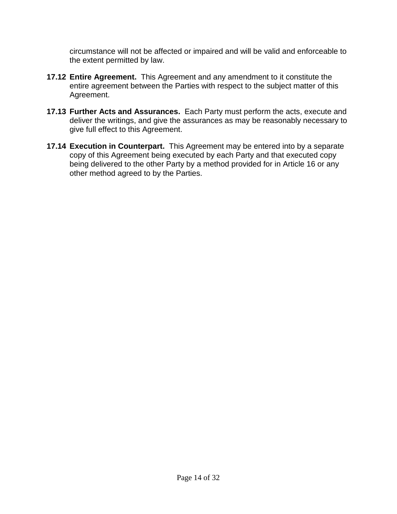circumstance will not be affected or impaired and will be valid and enforceable to the extent permitted by law.

- **17.12 Entire Agreement.** This Agreement and any amendment to it constitute the entire agreement between the Parties with respect to the subject matter of this Agreement.
- **17.13 Further Acts and Assurances.** Each Party must perform the acts, execute and deliver the writings, and give the assurances as may be reasonably necessary to give full effect to this Agreement.
- **17.14 Execution in Counterpart.** This Agreement may be entered into by a separate copy of this Agreement being executed by each Party and that executed copy being delivered to the other Party by a method provided for in Article 16 or any other method agreed to by the Parties.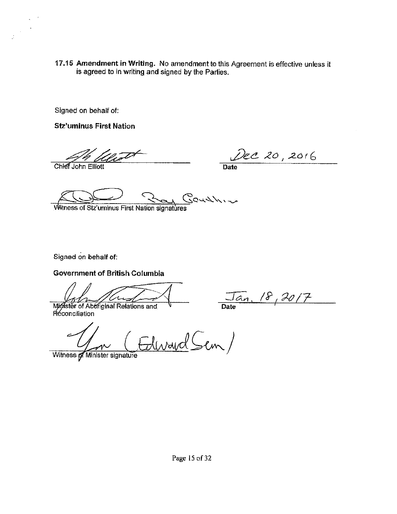17.15 Amendment in Writing. No amendment to this Agreement is effective unless it is agreed to in writing and signed by the Parties.

Signed on behalf of:

**Stz'uminus First Nation** 

Dec 20, 2016

Chief John Elliott

**Date** 

Courthier

Witness of Stz'uminus First Nation signatures

Signed on behalf of:

**Government of British Columbia** 

 $\frac{\sqrt{a_n}}{\text{Date}}$  /8, 20/7

Minister of Abbriginal Relations and Réconciliation

Ilward Sem/

Witness of Minister signature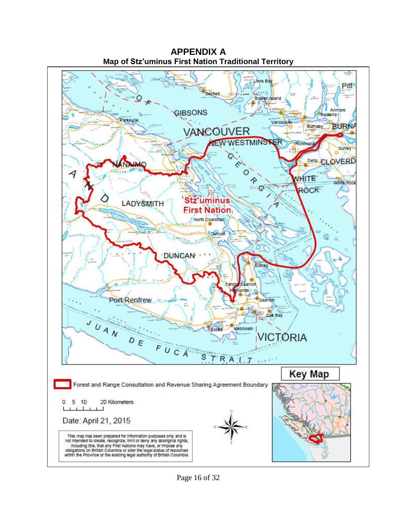

**APPENDIX A Map of Stz'uminus First Nation Traditional Territory**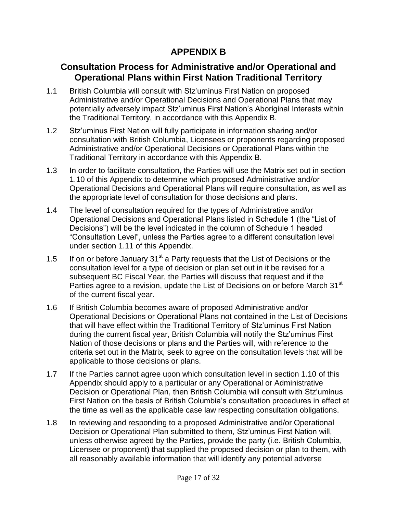### **APPENDIX B**

### **Consultation Process for Administrative and/or Operational and Operational Plans within First Nation Traditional Territory**

- 1.1 British Columbia will consult with Stz'uminus First Nation on proposed Administrative and/or Operational Decisions and Operational Plans that may potentially adversely impact Stz'uminus First Nation's Aboriginal Interests within the Traditional Territory, in accordance with this Appendix B.
- 1.2 Stz'uminus First Nation will fully participate in information sharing and/or consultation with British Columbia, Licensees or proponents regarding proposed Administrative and/or Operational Decisions or Operational Plans within the Traditional Territory in accordance with this Appendix B.
- 1.3 In order to facilitate consultation, the Parties will use the Matrix set out in section 1.10 of this Appendix to determine which proposed Administrative and/or Operational Decisions and Operational Plans will require consultation, as well as the appropriate level of consultation for those decisions and plans.
- 1.4 The level of consultation required for the types of Administrative and/or Operational Decisions and Operational Plans listed in Schedule 1 (the "List of Decisions") will be the level indicated in the column of Schedule 1 headed "Consultation Level", unless the Parties agree to a different consultation level under section 1.11 of this Appendix.
- 1.5 If on or before January  $31<sup>st</sup>$  a Party requests that the List of Decisions or the consultation level for a type of decision or plan set out in it be revised for a subsequent BC Fiscal Year, the Parties will discuss that request and if the Parties agree to a revision, update the List of Decisions on or before March 31<sup>st</sup> of the current fiscal year.
- 1.6 If British Columbia becomes aware of proposed Administrative and/or Operational Decisions or Operational Plans not contained in the List of Decisions that will have effect within the Traditional Territory of Stz'uminus First Nation during the current fiscal year, British Columbia will notify the Stz'uminus First Nation of those decisions or plans and the Parties will, with reference to the criteria set out in the Matrix, seek to agree on the consultation levels that will be applicable to those decisions or plans.
- 1.7 If the Parties cannot agree upon which consultation level in section 1.10 of this Appendix should apply to a particular or any Operational or Administrative Decision or Operational Plan, then British Columbia will consult with Stz'uminus First Nation on the basis of British Columbia's consultation procedures in effect at the time as well as the applicable case law respecting consultation obligations.
- 1.8 In reviewing and responding to a proposed Administrative and/or Operational Decision or Operational Plan submitted to them, Stz'uminus First Nation will, unless otherwise agreed by the Parties, provide the party (i.e. British Columbia, Licensee or proponent) that supplied the proposed decision or plan to them, with all reasonably available information that will identify any potential adverse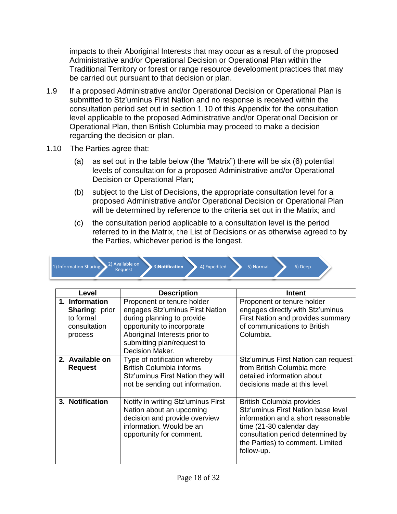impacts to their Aboriginal Interests that may occur as a result of the proposed Administrative and/or Operational Decision or Operational Plan within the Traditional Territory or forest or range resource development practices that may be carried out pursuant to that decision or plan.

- 1.9 If a proposed Administrative and/or Operational Decision or Operational Plan is submitted to Stz'uminus First Nation and no response is received within the consultation period set out in section 1.10 of this Appendix for the consultation level applicable to the proposed Administrative and/or Operational Decision or Operational Plan, then British Columbia may proceed to make a decision regarding the decision or plan.
- 1.10 The Parties agree that:
	- (a) as set out in the table below (the "Matrix") there will be six (6) potential levels of consultation for a proposed Administrative and/or Operational Decision or Operational Plan;
	- (b) subject to the List of Decisions, the appropriate consultation level for a proposed Administrative and/or Operational Decision or Operational Plan will be determined by reference to the criteria set out in the Matrix; and
	- (c) the consultation period applicable to a consultation level is the period referred to in the Matrix, the List of Decisions or as otherwise agreed to by the Parties, whichever period is the longest.



| Level                                                                           | <b>Description</b>                                                                                                                                                                                          | Intent                                                                                                                                                                                                                          |
|---------------------------------------------------------------------------------|-------------------------------------------------------------------------------------------------------------------------------------------------------------------------------------------------------------|---------------------------------------------------------------------------------------------------------------------------------------------------------------------------------------------------------------------------------|
| 1. Information<br><b>Sharing: prior</b><br>to formal<br>consultation<br>process | Proponent or tenure holder<br>engages Stz'uminus First Nation<br>during planning to provide<br>opportunity to incorporate<br>Aboriginal Interests prior to<br>submitting plan/request to<br>Decision Maker. | Proponent or tenure holder<br>engages directly with Stz'uminus<br>First Nation and provides summary<br>of communications to British<br>Columbia.                                                                                |
| 2. Available on<br><b>Request</b>                                               | Type of notification whereby<br><b>British Columbia informs</b><br>Stz'uminus First Nation they will<br>not be sending out information.                                                                     | Stz'uminus First Nation can request<br>from British Columbia more<br>detailed information about<br>decisions made at this level.                                                                                                |
| 3. Notification                                                                 | Notify in writing Stz'uminus First<br>Nation about an upcoming<br>decision and provide overview<br>information. Would be an<br>opportunity for comment.                                                     | <b>British Columbia provides</b><br>Stz'uminus First Nation base level<br>information and a short reasonable<br>time (21-30 calendar day<br>consultation period determined by<br>the Parties) to comment. Limited<br>follow-up. |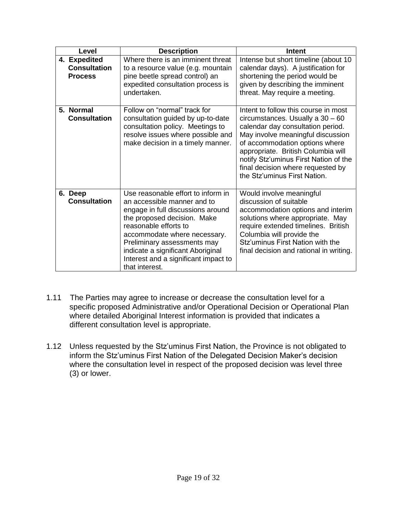| Level                                                 | <b>Description</b>                                                                                                                                                                                                                                                                                                           | Intent                                                                                                                                                                                                                                                                                                                                     |
|-------------------------------------------------------|------------------------------------------------------------------------------------------------------------------------------------------------------------------------------------------------------------------------------------------------------------------------------------------------------------------------------|--------------------------------------------------------------------------------------------------------------------------------------------------------------------------------------------------------------------------------------------------------------------------------------------------------------------------------------------|
| 4. Expedited<br><b>Consultation</b><br><b>Process</b> | Where there is an imminent threat<br>to a resource value (e.g. mountain<br>pine beetle spread control) an<br>expedited consultation process is<br>undertaken.                                                                                                                                                                | Intense but short timeline (about 10)<br>calendar days). A justification for<br>shortening the period would be<br>given by describing the imminent<br>threat. May require a meeting.                                                                                                                                                       |
| 5. Normal<br><b>Consultation</b>                      | Follow on "normal" track for<br>consultation guided by up-to-date<br>consultation policy. Meetings to<br>resolve issues where possible and<br>make decision in a timely manner.                                                                                                                                              | Intent to follow this course in most<br>circumstances. Usually a $30 - 60$<br>calendar day consultation period.<br>May involve meaningful discussion<br>of accommodation options where<br>appropriate. British Columbia will<br>notify Stz'uminus First Nation of the<br>final decision where requested by<br>the Stz'uminus First Nation. |
| 6. Deep<br><b>Consultation</b>                        | Use reasonable effort to inform in<br>an accessible manner and to<br>engage in full discussions around<br>the proposed decision. Make<br>reasonable efforts to<br>accommodate where necessary.<br>Preliminary assessments may<br>indicate a significant Aboriginal<br>Interest and a significant impact to<br>that interest. | Would involve meaningful<br>discussion of suitable<br>accommodation options and interim<br>solutions where appropriate. May<br>require extended timelines. British<br>Columbia will provide the<br>Stz'uminus First Nation with the<br>final decision and rational in writing.                                                             |

- 1.11 The Parties may agree to increase or decrease the consultation level for a specific proposed Administrative and/or Operational Decision or Operational Plan where detailed Aboriginal Interest information is provided that indicates a different consultation level is appropriate.
- 1.12 Unless requested by the Stz'uminus First Nation, the Province is not obligated to inform the Stz'uminus First Nation of the Delegated Decision Maker's decision where the consultation level in respect of the proposed decision was level three (3) or lower.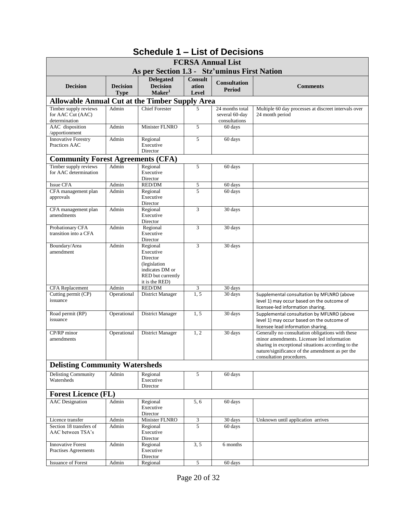|                                                       |                                |                                                                                                             |                                  | <b>FCRSA Annual List</b>             |                                                                                                                                                                                                                                     |
|-------------------------------------------------------|--------------------------------|-------------------------------------------------------------------------------------------------------------|----------------------------------|--------------------------------------|-------------------------------------------------------------------------------------------------------------------------------------------------------------------------------------------------------------------------------------|
|                                                       |                                | As per Section 1.3 - Stz'uminus First Nation                                                                |                                  |                                      |                                                                                                                                                                                                                                     |
| <b>Decision</b>                                       | <b>Decision</b><br><b>Type</b> | <b>Delegated</b><br><b>Decision</b><br>Maker <sup>1</sup>                                                   | <b>Consult</b><br>ation<br>Level | <b>Consultation</b><br><b>Period</b> | <b>Comments</b>                                                                                                                                                                                                                     |
| <b>Allowable Annual Cut at the Timber Supply Area</b> |                                |                                                                                                             |                                  |                                      |                                                                                                                                                                                                                                     |
| Timber supply reviews                                 | Admin                          | <b>Chief Forester</b>                                                                                       | 5                                | 24 months total                      | Multiple 60 day processes at discreet intervals over                                                                                                                                                                                |
| for AAC Cut (AAC)<br>determination                    |                                |                                                                                                             |                                  | several 60-day<br>consultations      | 24 month period                                                                                                                                                                                                                     |
| AAC disposition<br>/apportionment                     | Admin                          | Minister FLNRO                                                                                              | 5                                | 60 days                              |                                                                                                                                                                                                                                     |
| <b>Innovative Forestry</b><br>Practices AAC           | Admin                          | Regional<br>Executive<br>Director                                                                           | 5                                | 60 days                              |                                                                                                                                                                                                                                     |
| <b>Community Forest Agreements (CFA)</b>              |                                |                                                                                                             |                                  |                                      |                                                                                                                                                                                                                                     |
| Timber supply reviews                                 | Admin                          | Regional                                                                                                    | 5                                | 60 days                              |                                                                                                                                                                                                                                     |
| for AAC determination                                 |                                | Executive<br>Director                                                                                       |                                  |                                      |                                                                                                                                                                                                                                     |
| <b>Issue CFA</b>                                      | Admin                          | RED/DM                                                                                                      | 5                                | 60 days                              |                                                                                                                                                                                                                                     |
| CFA management plan<br>approvals                      | Admin                          | Regional<br>Executive<br>Director                                                                           | 5                                | 60 days                              |                                                                                                                                                                                                                                     |
| CFA management plan<br>amendments                     | Admin                          | Regional<br>Executive<br>Director                                                                           | 3                                | 30 days                              |                                                                                                                                                                                                                                     |
| Probationary CFA<br>transition into a CFA             | Admin                          | Regional<br>Executive<br>Director                                                                           | 3                                | 30 days                              |                                                                                                                                                                                                                                     |
| Boundary/Area<br>amendment                            | Admin                          | Regional<br>Executive<br>Director<br>(legislation<br>indicates DM or<br>RED but currently<br>it is the RED) | 3                                | 30 days                              |                                                                                                                                                                                                                                     |
| <b>CFA</b> Replacement                                | Admin                          | <b>RED/DM</b>                                                                                               | 3                                | 30 days                              |                                                                                                                                                                                                                                     |
| Cutting permit (CP)<br>issuance                       | Operational                    | District Manager                                                                                            | 1, 5                             | 30 days                              | Supplemental consultation by MFLNRO (above<br>level 1) may occur based on the outcome of<br>licensee-led information sharing.                                                                                                       |
| Road permit (RP)<br>issuance                          | Operational                    | District Manager                                                                                            | 1.5                              | 30 days                              | Supplemental consultation by MFLNRO (above<br>level 1) may occur based on the outcome of<br>licensee lead information sharing.                                                                                                      |
| CP/RP minor<br>amendments                             | Operational                    | District Manager                                                                                            | 1, 2                             | 30 days                              | Generally no consultation obligations with these<br>minor amendments. Licensee led information<br>sharing in exceptional situations according to the<br>nature/significance of the amendment as per the<br>consultation procedures. |
| <b>Delisting Community Watersheds</b>                 |                                |                                                                                                             |                                  |                                      |                                                                                                                                                                                                                                     |
| <b>Delisting Community</b><br>Watersheds              | Admin                          | Regional<br>Executive<br>Director                                                                           | 5                                | 60 days                              |                                                                                                                                                                                                                                     |
| <b>Forest Licence (FL)</b>                            |                                |                                                                                                             |                                  |                                      |                                                                                                                                                                                                                                     |
| <b>AAC</b> Designation                                | Admin                          | Regional<br>Executive<br>Director                                                                           | 5,6                              | 60 days                              |                                                                                                                                                                                                                                     |
| Licence transfer                                      | Admin                          | Minister FLNRO                                                                                              | $\overline{\mathbf{3}}$          | 30 days                              | Unknown until application arrives                                                                                                                                                                                                   |
| Section 18 transfers of<br>AAC between TSA's          | Admin                          | Regional<br>Executive<br>Director                                                                           | $\overline{5}$                   | 60 days                              |                                                                                                                                                                                                                                     |
| <b>Innovative Forest</b><br>Practises Agreements      | Admin                          | Regional<br>Executive<br>Director                                                                           | 3, 5                             | 6 months                             |                                                                                                                                                                                                                                     |
| <b>Issuance of Forest</b>                             | Admin                          | Regional                                                                                                    | 5                                | 60 days                              |                                                                                                                                                                                                                                     |

# **Schedule 1 – List of Decisions**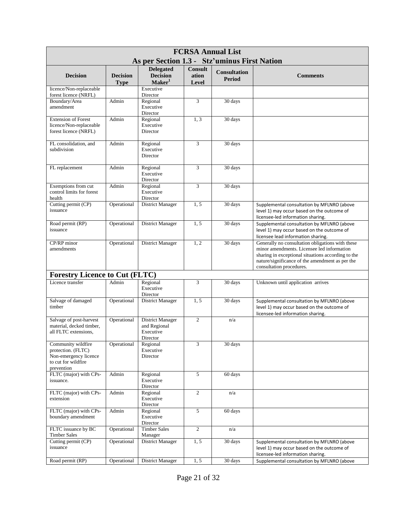| <b>FCRSA Annual List</b><br>As per Section 1.3 - Stz'uminus First Nation                               |                 |                                                                  |                         |                                      |                                                                                                                                                                                                                                     |  |  |
|--------------------------------------------------------------------------------------------------------|-----------------|------------------------------------------------------------------|-------------------------|--------------------------------------|-------------------------------------------------------------------------------------------------------------------------------------------------------------------------------------------------------------------------------------|--|--|
| <b>Decision</b>                                                                                        | <b>Decision</b> | <b>Delegated</b><br><b>Decision</b>                              | <b>Consult</b><br>ation | <b>Consultation</b><br><b>Period</b> | <b>Comments</b>                                                                                                                                                                                                                     |  |  |
|                                                                                                        | <b>Type</b>     | Maker <sup>1</sup>                                               | <b>Level</b>            |                                      |                                                                                                                                                                                                                                     |  |  |
| licence/Non-replaceable<br>forest licence (NRFL)                                                       |                 | Executive<br>Director                                            |                         |                                      |                                                                                                                                                                                                                                     |  |  |
| Boundary/Area<br>amendment                                                                             | Admin           | Regional<br>Executive<br>Director                                | 3                       | 30 days                              |                                                                                                                                                                                                                                     |  |  |
| <b>Extension of Forest</b><br>licence/Non-replaceable<br>forest licence (NRFL)                         | Admin           | Regional<br>Executive<br>Director                                | 1, 3                    | 30 days                              |                                                                                                                                                                                                                                     |  |  |
| FL consolidation, and<br>subdivision                                                                   | Admin           | Regional<br>Executive<br>Director                                | 3                       | 30 days                              |                                                                                                                                                                                                                                     |  |  |
| FL replacement                                                                                         | Admin           | Regional<br>Executive<br>Director                                | 3                       | 30 days                              |                                                                                                                                                                                                                                     |  |  |
| Exemptions from cut<br>control limits for forest<br>health                                             | Admin           | Regional<br>Executive<br>Director                                | 3                       | 30 days                              |                                                                                                                                                                                                                                     |  |  |
| Cutting permit (CP)<br>issuance                                                                        | Operational     | District Manager                                                 | 1, 5                    | 30 days                              | Supplemental consultation by MFLNRO (above<br>level 1) may occur based on the outcome of<br>licensee-led information sharing.                                                                                                       |  |  |
| Road permit (RP)<br>issuance                                                                           | Operational     | <b>District Manager</b>                                          | 1, 5                    | 30 days                              | Supplemental consultation by MFLNRO (above<br>level 1) may occur based on the outcome of<br>licensee lead information sharing.                                                                                                      |  |  |
| CP/RP minor<br>amendments                                                                              | Operational     | District Manager                                                 | 1, 2                    | 30 days                              | Generally no consultation obligations with these<br>minor amendments. Licensee led information<br>sharing in exceptional situations according to the<br>nature/significance of the amendment as per the<br>consultation procedures. |  |  |
| <b>Forestry Licence to Cut (FLTC)</b>                                                                  |                 |                                                                  |                         |                                      |                                                                                                                                                                                                                                     |  |  |
| Licence transfer                                                                                       | Admin           | Regional<br>Executive<br>Director                                | 3                       | 30 days                              | Unknown until application arrives                                                                                                                                                                                                   |  |  |
| Salvage of damaged<br>timber                                                                           | Operational     | District Manager                                                 | 1, 5                    | 30 days                              | Supplemental consultation by MFLNRO (above<br>level 1) may occur based on the outcome of<br>licensee-led information sharing.                                                                                                       |  |  |
| Salvage of post-harvest<br>material, decked timber,<br>all FLTC extensions,                            | Operational     | <b>District Manager</b><br>and Regional<br>Executive<br>Director | $\overline{2}$          | n/a                                  |                                                                                                                                                                                                                                     |  |  |
| Community wildfire<br>protection. (FLTC)<br>Non-emergency licence<br>to cut for wildfire<br>prevention | Operational     | Regional<br>Executive<br>Director                                | 3                       | 30 days                              |                                                                                                                                                                                                                                     |  |  |
| FLTC (major) with CPs-<br>issuance.                                                                    | Admin           | Regional<br>Executive<br>Director                                | 5                       | 60 days                              |                                                                                                                                                                                                                                     |  |  |
| FLTC (major) with CPs-<br>extension                                                                    | Admin           | Regional<br>Executive<br>Director                                | $\overline{c}$          | n/a                                  |                                                                                                                                                                                                                                     |  |  |
| FLTC (major) with CPs-<br>boundary amendment                                                           | Admin           | Regional<br>Executive<br>Director                                | 5                       | 60 days                              |                                                                                                                                                                                                                                     |  |  |
| FLTC issuance by BC<br><b>Timber Sales</b>                                                             | Operational     | <b>Timber Sales</b><br>Manager                                   | $\overline{c}$          | n/a                                  |                                                                                                                                                                                                                                     |  |  |
| Cutting permit (CP)<br>issuance                                                                        | Operational     | District Manager                                                 | 1, 5                    | 30 days                              | Supplemental consultation by MFLNRO (above<br>level 1) may occur based on the outcome of<br>licensee-led information sharing.                                                                                                       |  |  |
| Road permit (RP)                                                                                       | Operational     | District Manager                                                 | 1, 5                    | 30 days                              | Supplemental consultation by MFLNRO (above                                                                                                                                                                                          |  |  |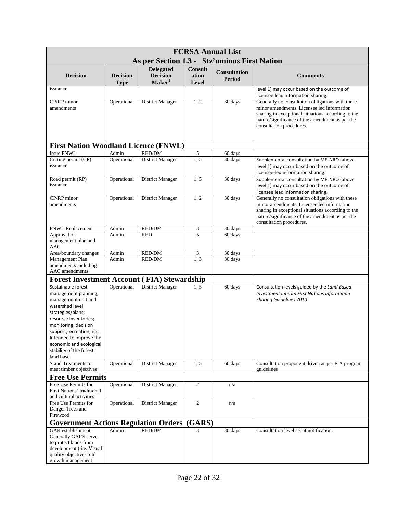| <b>FCRSA Annual List</b>                                                                                                                                                                                                                                        |                                |                                                           |                                  |                                      |                                                                                                                                                                                                                                     |  |  |
|-----------------------------------------------------------------------------------------------------------------------------------------------------------------------------------------------------------------------------------------------------------------|--------------------------------|-----------------------------------------------------------|----------------------------------|--------------------------------------|-------------------------------------------------------------------------------------------------------------------------------------------------------------------------------------------------------------------------------------|--|--|
|                                                                                                                                                                                                                                                                 |                                | As per Section 1.3 - Stz'uminus First Nation              |                                  |                                      |                                                                                                                                                                                                                                     |  |  |
| <b>Decision</b>                                                                                                                                                                                                                                                 | <b>Decision</b><br><b>Type</b> | <b>Delegated</b><br><b>Decision</b><br>Maker <sup>1</sup> | <b>Consult</b><br>ation<br>Level | <b>Consultation</b><br><b>Period</b> | <b>Comments</b>                                                                                                                                                                                                                     |  |  |
| issuance                                                                                                                                                                                                                                                        |                                |                                                           |                                  |                                      | level 1) may occur based on the outcome of                                                                                                                                                                                          |  |  |
| CP/RP minor                                                                                                                                                                                                                                                     |                                | <b>District Manager</b>                                   | 1, 2                             | 30 days                              | licensee lead information sharing.<br>Generally no consultation obligations with these                                                                                                                                              |  |  |
| amendments                                                                                                                                                                                                                                                      | Operational                    |                                                           |                                  |                                      | minor amendments. Licensee led information<br>sharing in exceptional situations according to the<br>nature/significance of the amendment as per the<br>consultation procedures.                                                     |  |  |
| <b>First Nation Woodland Licence (FNWL)</b>                                                                                                                                                                                                                     |                                |                                                           |                                  |                                      |                                                                                                                                                                                                                                     |  |  |
| Issue FNWL                                                                                                                                                                                                                                                      | Admin                          | RED/DM                                                    | $\sqrt{5}$                       | 60 days                              |                                                                                                                                                                                                                                     |  |  |
| Cutting permit (CP)<br>issuance                                                                                                                                                                                                                                 | Operational                    | District Manager                                          | 1, 5                             | 30 days                              | Supplemental consultation by MFLNRO (above<br>level 1) may occur based on the outcome of<br>licensee-led information sharing.                                                                                                       |  |  |
| Road permit (RP)                                                                                                                                                                                                                                                | Operational                    | District Manager                                          | 1, 5                             | 30 days                              | Supplemental consultation by MFLNRO (above                                                                                                                                                                                          |  |  |
| issuance                                                                                                                                                                                                                                                        |                                |                                                           |                                  |                                      | level 1) may occur based on the outcome of<br>licensee lead information sharing.                                                                                                                                                    |  |  |
| CP/RP minor<br>amendments                                                                                                                                                                                                                                       | Operational                    | District Manager                                          | 1, 2                             | 30 days                              | Generally no consultation obligations with these<br>minor amendments. Licensee led information<br>sharing in exceptional situations according to the<br>nature/significance of the amendment as per the<br>consultation procedures. |  |  |
| FNWL Replacement                                                                                                                                                                                                                                                | Admin                          | RED/DM                                                    | 3                                | 30 days                              |                                                                                                                                                                                                                                     |  |  |
| Approval of<br>management plan and<br>AAC                                                                                                                                                                                                                       | Admin                          | <b>RED</b>                                                | 5                                | 60 days                              |                                                                                                                                                                                                                                     |  |  |
| Area/boundary changes                                                                                                                                                                                                                                           | Admin                          | RED/DM                                                    | 3                                | 30 days                              |                                                                                                                                                                                                                                     |  |  |
| Management Plan<br>amendments including<br>AAC amendments                                                                                                                                                                                                       | Admin                          | RED/DM                                                    | 1, 3                             | 30 days                              |                                                                                                                                                                                                                                     |  |  |
| <b>Forest Investment Account (FIA) Stewardship</b>                                                                                                                                                                                                              |                                |                                                           |                                  |                                      |                                                                                                                                                                                                                                     |  |  |
| Sustainable forest                                                                                                                                                                                                                                              | Operational                    | District Manager                                          | 1, 5                             | 60 days                              | Consultation levels guided by the Land Based                                                                                                                                                                                        |  |  |
| management planning;<br>management unit and<br>watershed level<br>strategies/plans;<br>resource inventories;<br>monitoring; decision<br>support; recreation, etc.<br>Intended to improve the<br>economic and ecological<br>stability of the forest<br>land base |                                |                                                           |                                  |                                      | <b>Investment Interim First Nations Information</b><br><b>Sharing Guidelines 2010</b>                                                                                                                                               |  |  |
| <b>Stand Treatments to</b><br>meet timber objectives                                                                                                                                                                                                            | Operational                    | District Manager                                          | 1, 5                             | 60 days                              | Consultation proponent driven as per FIA program<br>guidelines                                                                                                                                                                      |  |  |
| <b>Free Use Permits</b>                                                                                                                                                                                                                                         |                                |                                                           |                                  |                                      |                                                                                                                                                                                                                                     |  |  |
| Free Use Permits for<br>First Nations' traditional<br>and cultural activities                                                                                                                                                                                   | Operational                    | District Manager                                          | $\overline{2}$                   | n/a                                  |                                                                                                                                                                                                                                     |  |  |
| Free Use Permits for<br>Danger Trees and<br>Firewood                                                                                                                                                                                                            | Operational                    | District Manager                                          | $\overline{2}$                   | n/a                                  |                                                                                                                                                                                                                                     |  |  |
| <b>Government Actions Regulation Orders</b>                                                                                                                                                                                                                     |                                |                                                           | (GARS)                           |                                      |                                                                                                                                                                                                                                     |  |  |
| GAR establishment.<br>Generally GARS serve<br>to protect lands from<br>development (i.e. Visual<br>quality objectives, old<br>growth management                                                                                                                 | Admin                          | <b>RED/DM</b>                                             | 3                                | 30 days                              | Consultation level set at notification.                                                                                                                                                                                             |  |  |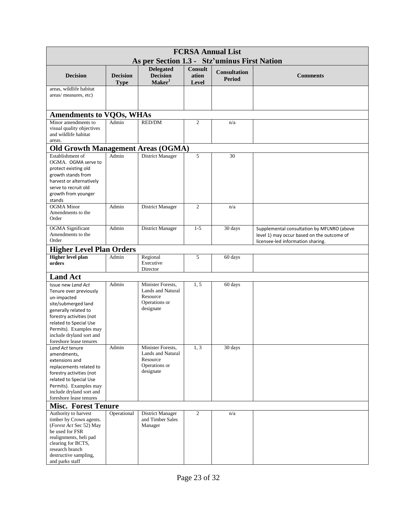| <b>FCRSA Annual List</b><br>As per Section 1.3 - Stz'uminus First Nation                                                                                                                                                                          |                                |                                                                                  |                                  |                                      |                                                                                                                               |  |
|---------------------------------------------------------------------------------------------------------------------------------------------------------------------------------------------------------------------------------------------------|--------------------------------|----------------------------------------------------------------------------------|----------------------------------|--------------------------------------|-------------------------------------------------------------------------------------------------------------------------------|--|
|                                                                                                                                                                                                                                                   |                                |                                                                                  |                                  |                                      |                                                                                                                               |  |
| <b>Decision</b>                                                                                                                                                                                                                                   | <b>Decision</b><br><b>Type</b> | <b>Delegated</b><br><b>Decision</b><br>Maker <sup>1</sup>                        | <b>Consult</b><br>ation<br>Level | <b>Consultation</b><br><b>Period</b> | <b>Comments</b>                                                                                                               |  |
| areas, wildlife habitat<br>areas/ measures, etc)                                                                                                                                                                                                  |                                |                                                                                  |                                  |                                      |                                                                                                                               |  |
| <b>Amendments to VQOs, WHAs</b>                                                                                                                                                                                                                   |                                |                                                                                  |                                  |                                      |                                                                                                                               |  |
| Minor amendments to<br>visual quality objectives<br>and wildlife habitat<br>areas.                                                                                                                                                                | Admin                          | <b>RED/DM</b>                                                                    | $\overline{c}$                   | n/a                                  |                                                                                                                               |  |
| <b>Old Growth Management Areas (OGMA)</b>                                                                                                                                                                                                         |                                |                                                                                  |                                  |                                      |                                                                                                                               |  |
| Establishment of<br>OGMA. OGMA serve to<br>protect existing old<br>growth stands from<br>harvest or alternatively<br>serve to recruit old<br>growth from younger<br>stands                                                                        | Admin                          | District Manager                                                                 | 5                                | 30                                   |                                                                                                                               |  |
| <b>OGMA</b> Minor<br>Amendments to the<br>Order                                                                                                                                                                                                   | Admin                          | District Manager                                                                 | $\overline{2}$                   | n/a                                  |                                                                                                                               |  |
| <b>OGMA</b> Significant<br>Amendments to the<br>Order                                                                                                                                                                                             | Admin                          | <b>District Manager</b>                                                          | $1 - 5$                          | 30 days                              | Supplemental consultation by MFLNRO (above<br>level 1) may occur based on the outcome of<br>licensee-led information sharing. |  |
| <b>Higher Level Plan Orders</b>                                                                                                                                                                                                                   |                                |                                                                                  |                                  |                                      |                                                                                                                               |  |
| <b>Higher level plan</b><br>orders                                                                                                                                                                                                                | Admin                          | Regional<br>Executive<br>Director                                                | 5                                | 60 days                              |                                                                                                                               |  |
| <b>Land Act</b>                                                                                                                                                                                                                                   |                                |                                                                                  |                                  |                                      |                                                                                                                               |  |
| Issue new Land Act<br>Tenure over previously<br>un-impacted<br>site/submerged land<br>generally related to<br>forestry activities (not<br>related to Special Use<br>Permits). Examples may<br>include dryland sort and<br>foreshore lease tenures | Admin                          | Minister Forests,<br>Lands and Natural<br>Resource<br>Operations or<br>designate | 1, 5                             | 60 days                              |                                                                                                                               |  |
| Land Act tenure<br>amendments,<br>extensions and<br>replacements related to<br>forestry activities (not<br>related to Special Use<br>Permits). Examples may<br>include dryland sort and<br>foreshore lease tenures                                | Admin                          | Minister Forests,<br>Lands and Natural<br>Resource<br>Operations or<br>designate | 1, 3                             | 30 days                              |                                                                                                                               |  |
| <b>Misc. Forest Tenure</b>                                                                                                                                                                                                                        |                                |                                                                                  |                                  |                                      |                                                                                                                               |  |
| Authority to harvest<br>timber by Crown agents.<br>(Forest Act Sec 52) May<br>be used for FSR<br>realignments, heli pad<br>clearing for BCTS,<br>research branch<br>destructive sampling,<br>and parks staff                                      | Operational                    | District Manager<br>and Timber Sales<br>Manager                                  | $\overline{c}$                   | n/a                                  |                                                                                                                               |  |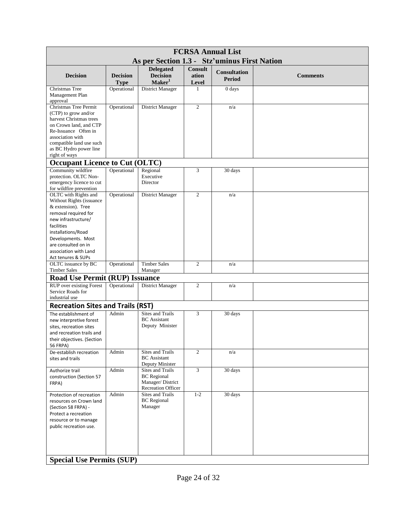| <b>FCRSA Annual List</b>                                                                                                                                                                                                                              |                                |                                                                                         |                           |                                      |                 |  |
|-------------------------------------------------------------------------------------------------------------------------------------------------------------------------------------------------------------------------------------------------------|--------------------------------|-----------------------------------------------------------------------------------------|---------------------------|--------------------------------------|-----------------|--|
|                                                                                                                                                                                                                                                       |                                | As per Section 1.3 - Stz'uminus First Nation                                            |                           |                                      |                 |  |
| <b>Decision</b>                                                                                                                                                                                                                                       | <b>Decision</b><br><b>Type</b> | <b>Delegated</b><br><b>Decision</b><br>Maker <sup>1</sup>                               | Consult<br>ation<br>Level | <b>Consultation</b><br><b>Period</b> | <b>Comments</b> |  |
| Christmas Tree<br>Management Plan<br>approval                                                                                                                                                                                                         | Operational                    | District Manager                                                                        | $\mathbf{1}$              | 0 days                               |                 |  |
| Christmas Tree Permit<br>(CTP) to grow and/or<br>harvest Christmas trees<br>on Crown land, and CTP<br>Re-Issuance Often in<br>association with<br>compatible land use such<br>as BC Hydro power line<br>right of ways                                 | Operational                    | District Manager                                                                        | $\overline{c}$            | n/a                                  |                 |  |
| <b>Occupant Licence to Cut (OLTC)</b>                                                                                                                                                                                                                 |                                |                                                                                         |                           |                                      |                 |  |
| Community wildfire<br>protection. OLTC Non-<br>emergency licence to cut<br>for wildfire prevention                                                                                                                                                    | Operational                    | Regional<br>Executive<br>Director                                                       | 3                         | 30 days                              |                 |  |
| OLTC with Rights and<br>Without Rights (issuance<br>& extension). Tree<br>removal required for<br>new infrastructure/<br>facilities<br>installations/Road<br>Developments. Most<br>are consulted on in<br>association with Land<br>Act tenures & SUPs | Operational                    | District Manager                                                                        | $\overline{2}$            | n/a                                  |                 |  |
| OLTC issuance by BC                                                                                                                                                                                                                                   | Operational                    | <b>Timber Sales</b>                                                                     | $\overline{c}$            | n/a                                  |                 |  |
| <b>Timber Sales</b><br><b>Road Use Permit (RUP) Issuance</b>                                                                                                                                                                                          |                                | Manager                                                                                 |                           |                                      |                 |  |
| <b>RUP</b> over existing Forest<br>Service Roads for<br>industrial use                                                                                                                                                                                | Operational                    | District Manager                                                                        | $\overline{c}$            | n/a                                  |                 |  |
| <b>Recreation Sites and Trails (RST)</b>                                                                                                                                                                                                              |                                |                                                                                         |                           |                                      |                 |  |
| The establishment of<br>new interpretive forest<br>sites, recreation sites<br>and recreation trails and<br>their objectives. (Section<br><b>56 FRPA)</b>                                                                                              | Admin                          | <b>Sites and Trails</b><br><b>BC</b> Assistant<br>Deputy Minister                       | 3                         | 30 days                              |                 |  |
| De-establish recreation<br>sites and trails                                                                                                                                                                                                           | Admin                          | <b>Sites and Trails</b><br><b>BC</b> Assistant<br>Deputy Minister                       | $\overline{c}$            | n/a                                  |                 |  |
| Authorize trail<br>construction (Section 57<br>FRPA)                                                                                                                                                                                                  | Admin                          | Sites and Trails<br><b>BC</b> Regional<br>Manager/District<br><b>Recreation Officer</b> | 3                         | 30 days                              |                 |  |
| Protection of recreation<br>resources on Crown land<br>(Section 58 FRPA) -<br>Protect a recreation<br>resource or to manage<br>public recreation use.                                                                                                 | Admin                          | <b>Sites and Trails</b><br><b>BC</b> Regional<br>Manager                                | $1 - 2$                   | 30 days                              |                 |  |
| <b>Special Use Permits (SUP)</b>                                                                                                                                                                                                                      |                                |                                                                                         |                           |                                      |                 |  |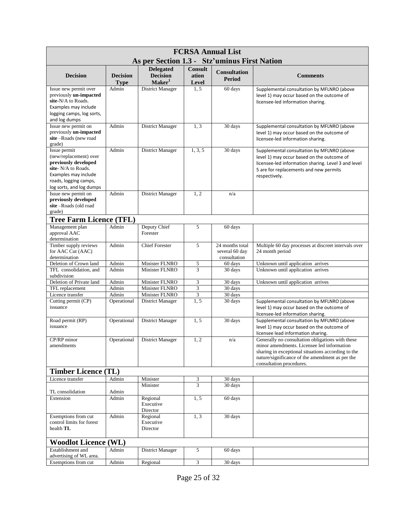| <b>FCRSA Annual List</b>                                                                                                                                           |                                |                                                           |                                         |                                                   |                                                                                                                                                                                                                                     |  |  |  |
|--------------------------------------------------------------------------------------------------------------------------------------------------------------------|--------------------------------|-----------------------------------------------------------|-----------------------------------------|---------------------------------------------------|-------------------------------------------------------------------------------------------------------------------------------------------------------------------------------------------------------------------------------------|--|--|--|
| As per Section 1.3 - Stz'uminus First Nation                                                                                                                       |                                |                                                           |                                         |                                                   |                                                                                                                                                                                                                                     |  |  |  |
| <b>Decision</b>                                                                                                                                                    | <b>Decision</b><br><b>Type</b> | <b>Delegated</b><br><b>Decision</b><br>Maker <sup>1</sup> | <b>Consult</b><br>ation<br><b>Level</b> | <b>Consultation</b><br><b>Period</b>              | <b>Comments</b>                                                                                                                                                                                                                     |  |  |  |
| Issue new permit over<br>previously un-impacted<br>site-N/A to Roads.<br>Examples may include<br>logging camps, log sorts,<br>and log dumps                        | Admin                          | District Manager                                          | 1.5                                     | 60 days                                           | Supplemental consultation by MFLNRO (above<br>level 1) may occur based on the outcome of<br>licensee-led information sharing.                                                                                                       |  |  |  |
| Issue new permit on<br>previously un-impacted<br>site-Roads (new road<br>grade)                                                                                    | Admin                          | District Manager                                          | 1, 3                                    | 30 days                                           | Supplemental consultation by MFLNRO (above<br>level 1) may occur based on the outcome of<br>licensee-led information sharing.                                                                                                       |  |  |  |
| Issue permit<br>(new/replacement) over<br>previously developed<br>site- N/A to Roads.<br>Examples may include<br>roads, logging camps,<br>log sorts, and log dumps | Admin                          | District Manager                                          | 1, 3, 5                                 | 30 days                                           | Supplemental consultation by MFLNRO (above<br>level 1) may occur based on the outcome of<br>licensee-led information sharing. Level 3 and level<br>5 are for replacements and new permits<br>respectively.                          |  |  |  |
| Issue new permit on<br>previously developed<br>site-Roads (old road<br>grade)                                                                                      | Admin                          | District Manager                                          | 1, 2                                    | n/a                                               |                                                                                                                                                                                                                                     |  |  |  |
| <b>Tree Farm Licence (TFL)</b>                                                                                                                                     |                                |                                                           |                                         |                                                   |                                                                                                                                                                                                                                     |  |  |  |
| Management plan<br>approval AAC<br>determination                                                                                                                   | Admin                          | Deputy Chief<br>Forester                                  | 5                                       | 60 days                                           |                                                                                                                                                                                                                                     |  |  |  |
| Timber supply reviews<br>for AAC Cut (AAC)<br>determination                                                                                                        | Admin                          | <b>Chief Forester</b>                                     | 5                                       | 24 months total<br>several 60 day<br>consultation | Multiple 60 day processes at discreet intervals over<br>24 month period                                                                                                                                                             |  |  |  |
| Deletion of Crown land                                                                                                                                             | Admin                          | Minister FLNRO                                            | 5                                       | 60 days                                           | Unknown until application arrives                                                                                                                                                                                                   |  |  |  |
| TFL consolidation, and<br>subdivision                                                                                                                              | Admin                          | Minister FLNRO                                            | $\overline{3}$                          | 30 days                                           | Unknown until application arrives                                                                                                                                                                                                   |  |  |  |
| Deletion of Private land                                                                                                                                           | Admin                          | Minister FLNRO                                            | $\mathfrak{Z}$                          | 30 days                                           | Unknown until application arrives                                                                                                                                                                                                   |  |  |  |
| TFL replacement<br>Licence transfer                                                                                                                                | Admin<br>Admin                 | Minister FLNRO<br>Minister FLNRO                          | $\ensuremath{\mathfrak{Z}}$<br>3        | 30 days<br>30 days                                |                                                                                                                                                                                                                                     |  |  |  |
| Cutting permit (CP)<br>issuance                                                                                                                                    | Operational                    | District Manager                                          | 1.5                                     | 30 days                                           | Supplemental consultation by MFLNRO (above<br>level 1) may occur based on the outcome of<br>licensee-led information sharing.                                                                                                       |  |  |  |
| Road permit (RP)<br>issuance                                                                                                                                       | Operational                    | <b>District Manager</b>                                   | 1.5                                     | 30 days                                           | Supplemental consultation by MFLNRO (above<br>level 1) may occur based on the outcome of<br>licensee lead information sharing.                                                                                                      |  |  |  |
| CP/RP minor<br>amendments                                                                                                                                          | Operational                    | District Manager                                          | 1, 2                                    | n/a                                               | Generally no consultation obligations with these<br>minor amendments. Licensee led information<br>sharing in exceptional situations according to the<br>nature/significance of the amendment as per the<br>consultation procedures. |  |  |  |
| <b>Timber Licence (TL)</b>                                                                                                                                         |                                |                                                           |                                         |                                                   |                                                                                                                                                                                                                                     |  |  |  |
| Licence transfer                                                                                                                                                   | Admin                          | Minister                                                  | 3                                       | 30 days                                           |                                                                                                                                                                                                                                     |  |  |  |
| TL consolidation                                                                                                                                                   | Admin                          | Minister                                                  | 3                                       | 30 days                                           |                                                                                                                                                                                                                                     |  |  |  |
| Extension                                                                                                                                                          | Admin                          | Regional<br>Executive<br>Director                         | 1, 5                                    | 60 days                                           |                                                                                                                                                                                                                                     |  |  |  |
| Exemptions from cut<br>control limits for forest<br>health TL                                                                                                      | Admin                          | Regional<br>Executive<br>Director                         | 1, 3                                    | 30 days                                           |                                                                                                                                                                                                                                     |  |  |  |
| <b>Woodlot Licence (WL)</b>                                                                                                                                        |                                |                                                           |                                         |                                                   |                                                                                                                                                                                                                                     |  |  |  |
| Establishment and<br>advertising of WL area.                                                                                                                       | Admin                          | District Manager                                          | 5                                       | 60 days                                           |                                                                                                                                                                                                                                     |  |  |  |
| Exemptions from cut                                                                                                                                                | Admin                          | Regional                                                  | 3                                       | 30 days                                           |                                                                                                                                                                                                                                     |  |  |  |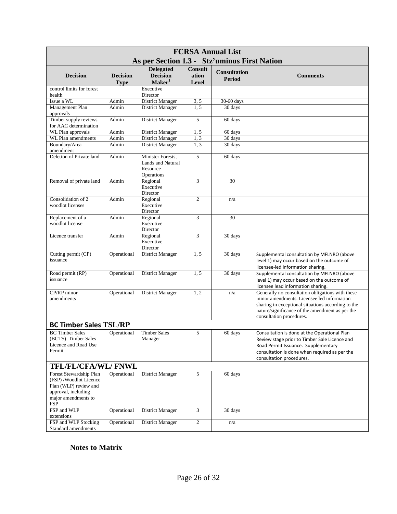| <b>FCRSA Annual List</b>                                                                                                              |                                |                                                                  |                                  |                                      |                                                                                                                                                                                                                                     |  |  |
|---------------------------------------------------------------------------------------------------------------------------------------|--------------------------------|------------------------------------------------------------------|----------------------------------|--------------------------------------|-------------------------------------------------------------------------------------------------------------------------------------------------------------------------------------------------------------------------------------|--|--|
|                                                                                                                                       |                                | As per Section 1.3 - Stz'uminus First Nation                     |                                  |                                      |                                                                                                                                                                                                                                     |  |  |
| <b>Decision</b>                                                                                                                       | <b>Decision</b><br><b>Type</b> | <b>Delegated</b><br><b>Decision</b><br>Maker <sup>1</sup>        | <b>Consult</b><br>ation<br>Level | <b>Consultation</b><br><b>Period</b> | <b>Comments</b>                                                                                                                                                                                                                     |  |  |
| control limits for forest                                                                                                             |                                | Executive                                                        |                                  |                                      |                                                                                                                                                                                                                                     |  |  |
| health                                                                                                                                |                                | Director                                                         |                                  |                                      |                                                                                                                                                                                                                                     |  |  |
| Issue a WL                                                                                                                            | Admin                          | District Manager                                                 | 3, 5                             | 30-60 days                           |                                                                                                                                                                                                                                     |  |  |
| Management Plan<br>approvals                                                                                                          | Admin                          | District Manager                                                 | 1.5                              | 30 days                              |                                                                                                                                                                                                                                     |  |  |
| Timber supply reviews<br>for AAC determination                                                                                        | Admin                          | District Manager                                                 | 5                                | 60 days                              |                                                                                                                                                                                                                                     |  |  |
| WL Plan approvals                                                                                                                     | Admin                          | District Manager                                                 | 1, 5                             | 60 days                              |                                                                                                                                                                                                                                     |  |  |
| WL Plan amendments                                                                                                                    | Admin                          | <b>District Manager</b>                                          | 1, 3                             | 30 days                              |                                                                                                                                                                                                                                     |  |  |
| Boundary/Area<br>amendment                                                                                                            | Admin                          | <b>District Manager</b>                                          | 1, 3                             | 30 days                              |                                                                                                                                                                                                                                     |  |  |
| Deletion of Private land                                                                                                              | Admin                          | Minister Forests.<br>Lands and Natural<br>Resource<br>Operations | 5                                | 60 days                              |                                                                                                                                                                                                                                     |  |  |
| Removal of private land                                                                                                               | Admin                          | Regional<br>Executive<br>Director                                | 3                                | 30                                   |                                                                                                                                                                                                                                     |  |  |
| Consolidation of 2<br>woodlot licenses                                                                                                | Admin                          | Regional<br>Executive<br>Director                                | $\mathfrak{2}$                   | n/a                                  |                                                                                                                                                                                                                                     |  |  |
| Replacement of a<br>woodlot license                                                                                                   | Admin                          | Regional<br>Executive<br>Director                                | 3                                | 30                                   |                                                                                                                                                                                                                                     |  |  |
| Licence transfer                                                                                                                      | Admin                          | Regional<br>Executive<br>Director                                | 3                                | 30 days                              |                                                                                                                                                                                                                                     |  |  |
| Cutting permit (CP)<br>issuance                                                                                                       | Operational                    | District Manager                                                 | 1,5                              | 30 days                              | Supplemental consultation by MFLNRO (above<br>level 1) may occur based on the outcome of<br>licensee-led information sharing.                                                                                                       |  |  |
| Road permit (RP)<br>issuance                                                                                                          | Operational                    | District Manager                                                 | 1,5                              | 30 days                              | Supplemental consultation by MFLNRO (above<br>level 1) may occur based on the outcome of<br>licensee lead information sharing.                                                                                                      |  |  |
| CP/RP minor<br>amendments                                                                                                             | Operational                    | District Manager                                                 | 1, 2                             | n/a                                  | Generally no consultation obligations with these<br>minor amendments. Licensee led information<br>sharing in exceptional situations according to the<br>nature/significance of the amendment as per the<br>consultation procedures. |  |  |
| <b>BC Timber Sales TSL/RP</b>                                                                                                         |                                |                                                                  |                                  |                                      |                                                                                                                                                                                                                                     |  |  |
| <b>BC</b> Timber Sales<br>(BCTS) Timber Sales<br>Licence and Road Use<br>Permit                                                       | Operational                    | <b>Timber Sales</b><br>Manager                                   | 5                                | 60 days                              | Consultation is done at the Operational Plan<br>Review stage prior to Timber Sale Licence and<br>Road Permit Issuance. Supplementary<br>consultation is done when required as per the<br>consultation procedures.                   |  |  |
| TFL/FL/CFA/WL/ FNWL                                                                                                                   |                                |                                                                  |                                  |                                      |                                                                                                                                                                                                                                     |  |  |
| Forest Stewardship Plan<br>(FSP)/Woodlot Licence<br>Plan (WLP) review and<br>approval, including<br>major amendments to<br><b>FSP</b> | Operational                    | District Manager                                                 | 5                                | 60 days                              |                                                                                                                                                                                                                                     |  |  |
| FSP and WLP<br>extensions                                                                                                             | Operational                    | District Manager                                                 | 3                                | 30 days                              |                                                                                                                                                                                                                                     |  |  |
| FSP and WLP Stocking<br>Standard amendments                                                                                           | Operational                    | District Manager                                                 | $\overline{c}$                   | n/a                                  |                                                                                                                                                                                                                                     |  |  |

#### **Notes to Matrix**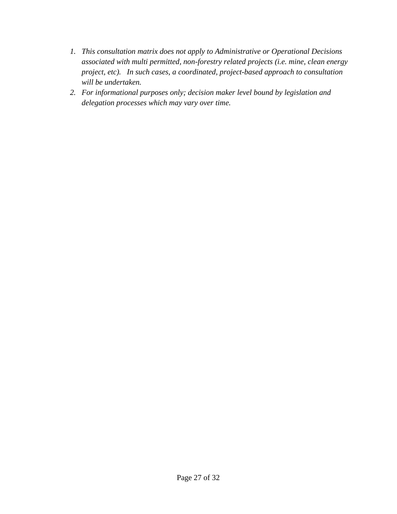- *1. This consultation matrix does not apply to Administrative or Operational Decisions associated with multi permitted, non-forestry related projects (i.e. mine, clean energy project, etc). In such cases, a coordinated, project-based approach to consultation will be undertaken.*
- *2. For informational purposes only; decision maker level bound by legislation and delegation processes which may vary over time.*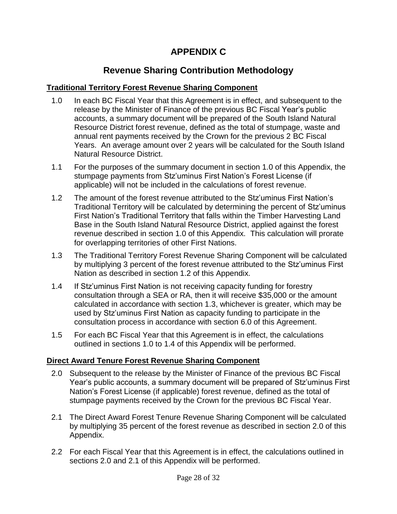## **APPENDIX C**

## **Revenue Sharing Contribution Methodology**

#### **Traditional Territory Forest Revenue Sharing Component**

- 1.0 In each BC Fiscal Year that this Agreement is in effect, and subsequent to the release by the Minister of Finance of the previous BC Fiscal Year's public accounts, a summary document will be prepared of the South Island Natural Resource District forest revenue, defined as the total of stumpage, waste and annual rent payments received by the Crown for the previous 2 BC Fiscal Years. An average amount over 2 years will be calculated for the South Island Natural Resource District.
- 1.1 For the purposes of the summary document in section 1.0 of this Appendix, the stumpage payments from Stz'uminus First Nation's Forest License (if applicable) will not be included in the calculations of forest revenue.
- 1.2 The amount of the forest revenue attributed to the Stz'uminus First Nation's Traditional Territory will be calculated by determining the percent of Stz'uminus First Nation's Traditional Territory that falls within the Timber Harvesting Land Base in the South Island Natural Resource District, applied against the forest revenue described in section 1.0 of this Appendix. This calculation will prorate for overlapping territories of other First Nations.
- 1.3 The Traditional Territory Forest Revenue Sharing Component will be calculated by multiplying 3 percent of the forest revenue attributed to the Stz'uminus First Nation as described in section 1.2 of this Appendix.
- 1.4 If Stz'uminus First Nation is not receiving capacity funding for forestry consultation through a SEA or RA, then it will receive \$35,000 or the amount calculated in accordance with section 1.3, whichever is greater, which may be used by Stz'uminus First Nation as capacity funding to participate in the consultation process in accordance with section 6.0 of this Agreement.
- 1.5 For each BC Fiscal Year that this Agreement is in effect, the calculations outlined in sections 1.0 to 1.4 of this Appendix will be performed.

#### **Direct Award Tenure Forest Revenue Sharing Component**

- 2.0 Subsequent to the release by the Minister of Finance of the previous BC Fiscal Year's public accounts, a summary document will be prepared of Stz'uminus First Nation's Forest License (if applicable) forest revenue, defined as the total of stumpage payments received by the Crown for the previous BC Fiscal Year.
- 2.1 The Direct Award Forest Tenure Revenue Sharing Component will be calculated by multiplying 35 percent of the forest revenue as described in section 2.0 of this Appendix.
- 2.2 For each Fiscal Year that this Agreement is in effect, the calculations outlined in sections 2.0 and 2.1 of this Appendix will be performed.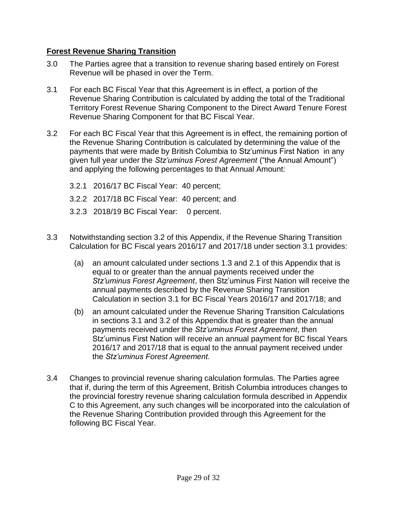#### **Forest Revenue Sharing Transition**

- 3.0 The Parties agree that a transition to revenue sharing based entirely on Forest Revenue will be phased in over the Term.
- 3.1 For each BC Fiscal Year that this Agreement is in effect, a portion of the Revenue Sharing Contribution is calculated by adding the total of the Traditional Territory Forest Revenue Sharing Component to the Direct Award Tenure Forest Revenue Sharing Component for that BC Fiscal Year.
- 3.2 For each BC Fiscal Year that this Agreement is in effect, the remaining portion of the Revenue Sharing Contribution is calculated by determining the value of the payments that were made by British Columbia to Stz'uminus First Nation in any given full year under the *Stz'uminus Forest Agreement* ("the Annual Amount") and applying the following percentages to that Annual Amount:
	- 3.2.1 2016/17 BC Fiscal Year: 40 percent;
	- 3.2.2 2017/18 BC Fiscal Year: 40 percent; and
	- 3.2.3 2018/19 BC Fiscal Year: 0 percent.
- 3.3 Notwithstanding section 3.2 of this Appendix, if the Revenue Sharing Transition Calculation for BC Fiscal years 2016/17 and 2017/18 under section 3.1 provides:
	- (a) an amount calculated under sections 1.3 and 2.1 of this Appendix that is equal to or greater than the annual payments received under the *Stz'uminus Forest Agreement*, then Stz'uminus First Nation will receive the annual payments described by the Revenue Sharing Transition Calculation in section 3.1 for BC Fiscal Years 2016/17 and 2017/18; and
	- (b) an amount calculated under the Revenue Sharing Transition Calculations in sections 3.1 and 3.2 of this Appendix that is greater than the annual payments received under the *Stz'uminus Forest Agreement*, then Stz'uminus First Nation will receive an annual payment for BC fiscal Years 2016/17 and 2017/18 that is equal to the annual payment received under the *Stz'uminus Forest Agreement.*
- 3.4 Changes to provincial revenue sharing calculation formulas. The Parties agree that if, during the term of this Agreement, British Columbia introduces changes to the provincial forestry revenue sharing calculation formula described in Appendix C to this Agreement, any such changes will be incorporated into the calculation of the Revenue Sharing Contribution provided through this Agreement for the following BC Fiscal Year.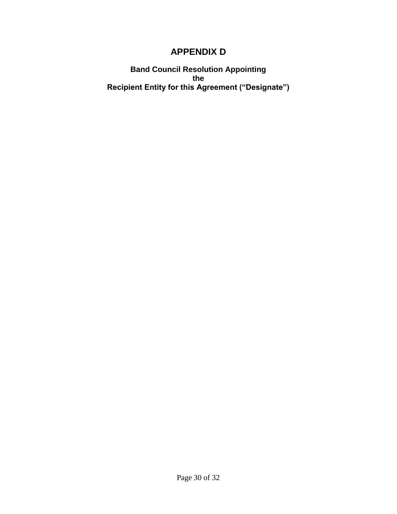### **APPENDIX D**

**Band Council Resolution Appointing the Recipient Entity for this Agreement ("Designate")**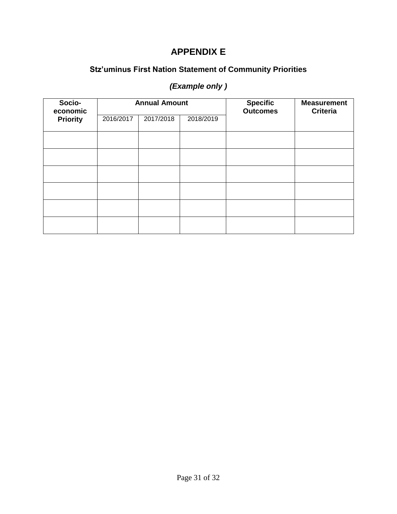### **APPENDIX E**

### **Stz'uminus First Nation Statement of Community Priorities**

### *(Example only )*

| Socio-<br>economic |           | <b>Annual Amount</b> |           | <b>Specific</b><br><b>Outcomes</b> | <b>Measurement</b><br><b>Criteria</b> |
|--------------------|-----------|----------------------|-----------|------------------------------------|---------------------------------------|
| <b>Priority</b>    | 2016/2017 | 2017/2018            | 2018/2019 |                                    |                                       |
|                    |           |                      |           |                                    |                                       |
|                    |           |                      |           |                                    |                                       |
|                    |           |                      |           |                                    |                                       |
|                    |           |                      |           |                                    |                                       |
|                    |           |                      |           |                                    |                                       |
|                    |           |                      |           |                                    |                                       |